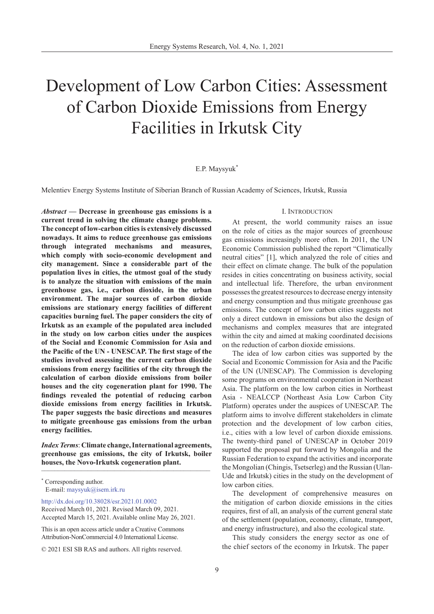# Development of Low Carbon Cities: Assessment of Carbon Dioxide Emissions from Energy Facilities in Irkutsk City

## E.P. Maysyuk\*

Melentiev Energy Systems Institute of Siberian Branch of Russian Academy of Sciences, Irkutsk, Russia

*Abstract* **— Decrease in greenhouse gas emissions is a current trend in solving the climate change problems. The concept of low-carbon cities is extensively discussed nowadays. It aims to reduce greenhouse gas emissions through integrated mechanisms and measures, which comply with socio-economic development and city management. Since a considerable part of the population lives in cities, the utmost goal of the study is to analyze the situation with emissions of the main greenhouse gas, i.e., carbon dioxide, in the urban environment. The major sources of carbon dioxide emissions are stationary energy facilities of different capacities burning fuel. The paper considers the city of Irkutsk as an example of the populated area included in the study on low carbon cities under the auspices of the Social and Economic Commission for Asia and the Pacific of the UN - UNESCAP. The first stage of the studies involved assessing the current carbon dioxide emissions from energy facilities of the city through the calculation of carbon dioxide emissions from boiler houses and the city cogeneration plant for 1990. The findings revealed the potential of reducing carbon dioxide emissions from energy facilities in Irkutsk. The paper suggests the basic directions and measures to mitigate greenhouse gas emissions from the urban energy facilities.**

*Index Terms*: **Climate change, International agreements, greenhouse gas emissions, the city of Irkutsk, boiler houses, the Novo-Irkutsk cogeneration plant.** \_\_\_\_\_\_\_\_\_\_\_\_\_\_\_\_\_\_\_\_\_\_\_\_\_\_\_\_\_\_\_\_\_\_\_\_\_\_\_\_\_\_\_\_\_\_\_\_\_\_\_

<http://dx.doi.org/10.38028/esr.2021.01.0002> Received March 01, 2021. Revised March 09, 2021. Accepted March 15, 2021. Available online May 26, 2021.

This is an open access article under a Creative Commons Attribution-NonCommercial 4.0 International License.

© 2021 ESI SB RAS and authors. All rights reserved.

#### I. Introduction

At present, the world community raises an issue on the role of cities as the major sources of greenhouse gas emissions increasingly more often. In 2011, the UN Economic Commission published the report "Climatically neutral cities" [1], which analyzed the role of cities and their effect on climate change. The bulk of the population resides in cities concentrating on business activity, social and intellectual life. Therefore, the urban environment possesses the greatest resources to decrease energy intensity and energy consumption and thus mitigate greenhouse gas emissions. The concept of low carbon cities suggests not only a direct cutdown in emissions but also the design of mechanisms and complex measures that are integrated within the city and aimed at making coordinated decisions on the reduction of carbon dioxide emissions.

The idea of low carbon cities was supported by the Social and Economic Commission for Asia and the Pacific of the UN (UNESCAP). The Commission is developing some programs on environmental cooperation in Northeast Asia. The platform on the low carbon cities in Northeast Asia - NEALCCP (Northeast Asia Low Carbon City Platform) operates under the auspices of UNESCAP. The platform aims to involve different stakeholders in climate protection and the development of low carbon cities, i.e., cities with a low level of carbon dioxide emissions. The twenty-third panel of UNESCAP in October 2019 supported the proposal put forward by Mongolia and the Russian Federation to expand the activities and incorporate the Mongolian (Chingis, Tsetserleg) and the Russian (Ulan-Ude and Irkutsk) cities in the study on the development of low carbon cities.

The development of comprehensive measures on the mitigation of carbon dioxide emissions in the cities requires, first of all, an analysis of the current general state of the settlement (population, economy, climate, transport, and energy infrastructure), and also the ecological state.

This study considers the energy sector as one of the chief sectors of the economy in Irkutsk. The paper

<sup>\*</sup> Corresponding author. E-mail: maysyuk@isem.irk.r[u](mailto:maysyuk%40isem.irk.ru?subject=)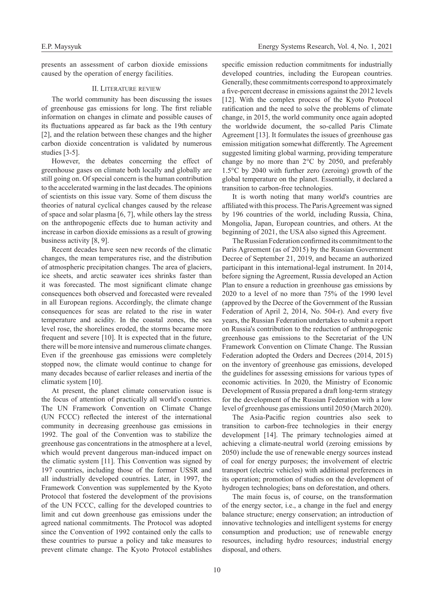presents an assessment of carbon dioxide emissions caused by the operation of energy facilities.

## II. Literature review

The world community has been discussing the issues of greenhouse gas emissions for long. The first reliable information on changes in climate and possible causes of its fluctuations appeared as far back as the 19th century [2], and the relation between these changes and the higher carbon dioxide concentration is validated by numerous studies [3-5].

However, the debates concerning the effect of greenhouse gases on climate both locally and globally are still going on. Of special concern is the human contribution to the accelerated warming in the last decades. The opinions of scientists on this issue vary. Some of them discuss the theories of natural cyclical changes caused by the release of space and solar plasma [6, 7], while others lay the stress on the anthropogenic effects due to human activity and increase in carbon dioxide emissions as a result of growing business activity [8, 9].

Recent decades have seen new records of the climatic changes, the mean temperatures rise, and the distribution of atmospheric precipitation changes. The area of glaciers, ice sheets, and arctic seawater ices shrinks faster than it was forecasted. The most significant climate change consequences both observed and forecasted were revealed in all European regions. Accordingly, the climate change consequences for seas are related to the rise in water temperature and acidity. In the coastal zones, the sea level rose, the shorelines eroded, the storms became more frequent and severe [10]. It is expected that in the future, there will be more intensive and numerous climate changes. Even if the greenhouse gas emissions were completely stopped now, the climate would continue to change for many decades because of earlier releases and inertia of the climatic system [10].

At present, the planet climate conservation issue is the focus of attention of practically all world's countries. The UN Framework Convention on Climate Change (UN FCCC) reflected the interest of the international community in decreasing greenhouse gas emissions in 1992. The goal of the Convention was to stabilize the greenhouse gas concentrations in the atmosphere at a level, which would prevent dangerous man-induced impact on the climatic system [11]. This Convention was signed by 197 countries, including those of the former USSR and all industrially developed countries. Later, in 1997, the Framework Convention was supplemented by the Kyoto Protocol that fostered the development of the provisions of the UN FCCC, calling for the developed countries to limit and cut down greenhouse gas emissions under the agreed national commitments. The Protocol was adopted since the Convention of 1992 contained only the calls to these countries to pursue a policy and take measures to prevent climate change. The Kyoto Protocol establishes

specific emission reduction commitments for industrially developed countries, including the European countries. Generally, these commitments correspond to approximately a five-percent decrease in emissions against the 2012 levels [12]. With the complex process of the Kyoto Protocol ratification and the need to solve the problems of climate change, in 2015, the world community once again adopted the worldwide document, the so-called Paris Climate Agreement [13]. It formulates the issues of greenhouse gas emission mitigation somewhat differently. The Agreement suggested limiting global warming, providing temperature change by no more than 2°С by 2050, and preferably 1.5°С by 2040 with further zero (zeroing) growth of the global temperature on the planet. Essentially, it declared a transition to carbon-free technologies.

It is worth noting that many world's countries are affiliated with this process. The Paris Agreement was signed by 196 countries of the world, including Russia, China, Mongolia, Japan, European countries, and others. At the beginning of 2021, the USA also signed this Agreement.

The Russian Federation confirmed its commitment to the Paris Agreement (as of 2015) by the Russian Government Decree of September 21, 2019, and became an authorized participant in this international-legal instrument. In 2014, before signing the Agreement, Russia developed an Action Plan to ensure a reduction in greenhouse gas emissions by 2020 to a level of no more than 75% of the 1990 level (approved by the Decree of the Government of the Russian Federation of April 2, 2014, No. 504-r). And every five years, the Russian Federation undertakes to submit a report on Russia's contribution to the reduction of anthropogenic greenhouse gas emissions to the Secretariat of the UN Framework Convention on Climate Change. The Russian Federation adopted the Orders and Decrees (2014, 2015) on the inventory of greenhouse gas emissions, developed the guidelines for assessing emissions for various types of economic activities. In 2020, the Ministry of Economic Development of Russia prepared a draft long-term strategy for the development of the Russian Federation with a low level of greenhouse gas emissions until 2050 (March 2020).

The Asia-Pacific region countries also seek to transition to carbon-free technologies in their energy development [14]. The primary technologies aimed at achieving a climate-neutral world (zeroing emissions by 2050) include the use of renewable energy sources instead of coal for energy purposes; the involvement of electric transport (electric vehicles) with additional preferences in its operation; promotion of studies on the development of hydrogen technologies; bans on deforestation, and others.

The main focus is, of course, on the transformation of the energy sector, i.e., a change in the fuel and energy balance structure; energy conservation; an introduction of innovative technologies and intelligent systems for energy consumption and production; use of renewable energy resources, including hydro resources; industrial energy disposal, and others.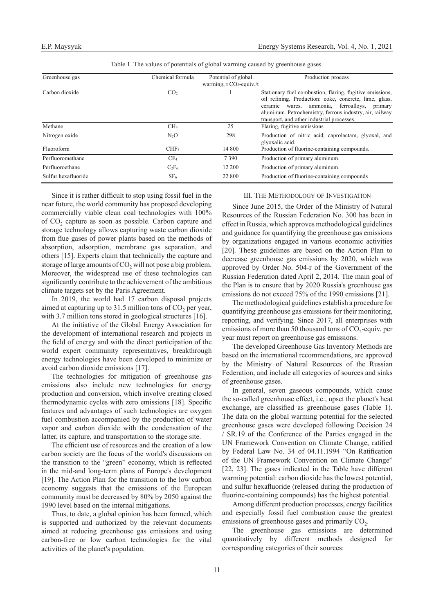| Greenhouse gas      | Chemical formula | Potential of global        | Production process                                       |
|---------------------|------------------|----------------------------|----------------------------------------------------------|
|                     |                  | warming, $t CO2$ -equiv./t |                                                          |
| Carbon dioxide      | CO <sub>2</sub>  |                            | Stationary fuel combustion, flaring, fugitive emissions, |
|                     |                  |                            | oil refining. Production: coke, concrete, lime, glass,   |
|                     |                  |                            | ferroalloys,<br>ceramic wares,<br>ammonia,<br>primary    |
|                     |                  |                            | aluminum. Petrochemistry, ferrous industry, air, railway |
|                     |                  |                            | transport, and other industrial processes.               |
| Methane             | CH <sub>4</sub>  | 25                         | Flaring, fugitive emissions                              |
| Nitrogen oxide      | $N_2O$           | 298                        | Production of nitric acid, caprolactam, glyoxal, and     |
|                     |                  |                            | glyoxalic acid.                                          |
| Fluoroform          | CHF <sub>3</sub> | 14 800                     | Production of fluorine-containing compounds.             |
| Perfluoromethane    | CF <sub>4</sub>  | 7390                       | Production of primary aluminum.                          |
| Perfluoroethane     | $C_2F_6$         | 12 200                     | Production of primary aluminum.                          |
| Sulfur hexafluoride | SF <sub>6</sub>  | 22 800                     | Production of fluorine-containing compounds              |

Table 1. The values of potentials of global warming caused by greenhouse gases.

Since it is rather difficult to stop using fossil fuel in the near future, the world community has proposed developing commercially viable clean coal technologies with 100% of CO<sub>2</sub> capture as soon as possible. Carbon capture and storage technology allows capturing waste carbon dioxide from flue gases of power plants based on the methods of absorption, adsorption, membrane gas separation, and others [15]. Experts claim that technically the capture and storage of large amounts of  $CO<sub>2</sub>$  will not pose a big problem. Moreover, the widespread use of these technologies can significantly contribute to the achievement of the ambitious climate targets set by the Paris Agreement.

In 2019, the world had 17 carbon disposal projects aimed at capturing up to  $31.5$  million tons of  $CO<sub>2</sub>$  per year, with 3.7 million tons stored in geological structures [16].

At the initiative of the Global Energy Association for the development of international research and projects in the field of energy and with the direct participation of the world expert community representatives, breakthrough energy technologies have been developed to minimize or avoid carbon dioxide emissions [17].

The technologies for mitigation of greenhouse gas emissions also include new technologies for energy production and conversion, which involve creating closed thermodynamic cycles with zero emissions [18]. Specific features and advantages of such technologies are oxygen fuel combustion accompanied by the production of water vapor and carbon dioxide with the condensation of the latter, its capture, and transportation to the storage site.

The efficient use of resources and the creation of a low carbon society are the focus of the world's discussions on the transition to the "green" economy, which is reflected in the mid-and long-term plans of Europe's development [19]. The Action Plan for the transition to the low carbon economy suggests that the emissions of the European community must be decreased by 80% by 2050 against the 1990 level based on the internal mitigations.

Thus, to date, a global opinion has been formed, which is supported and authorized by the relevant documents aimed at reducing greenhouse gas emissions and using carbon-free or low carbon technologies for the vital activities of the planet's population.

### III. The Methodology of Investigation

Since June 2015, the Order of the Ministry of Natural Resources of the Russian Federation No. 300 has been in effect in Russia, which approves methodological guidelines and guidance for quantifying the greenhouse gas emissions by organizations engaged in various economic activities [20]. These guidelines are based on the Action Plan to decrease greenhouse gas emissions by 2020, which was approved by Order No. 504-r of the Government of the Russian Federation dated April 2, 2014. The main goal of the Plan is to ensure that by 2020 Russia's greenhouse gas emissions do not exceed 75% of the 1990 emissions [21].

The methodological guidelines establish a procedure for quantifying greenhouse gas emissions for their monitoring, reporting, and verifying. Since 2017, all enterprises with emissions of more than 50 thousand tons of  $CO_2$ -equiv. per year must report on greenhouse gas emissions.

The developed Greenhouse Gas Inventory Methods are based on the international recommendations, are approved by the Ministry of Natural Resources of the Russian Federation, and include all categories of sources and sinks of greenhouse gases.

In general, seven gaseous compounds, which cause the so-called greenhouse effect, i.e., upset the planet's heat exchange, are classified as greenhouse gases (Table 1). The data on the global warming potential for the selected greenhouse gases were developed following Decision 24 / SR.19 of the Conference of the Parties engaged in the UN Framework Convention on Climate Change, ratified by Federal Law No. 34 of 04.11.1994 "On Ratification of the UN Framework Convention on Climate Change" [22, 23]. The gases indicated in the Table have different warming potential: carbon dioxide has the lowest potential, and sulfur hexafluoride (released during the production of fluorine-containing compounds) has the highest potential.

Among different production processes, energy facilities and especially fossil fuel combustion cause the greatest emissions of greenhouse gases and primarily  $CO<sub>2</sub>$ .

The greenhouse gas emissions are determined quantitatively by different methods designed for corresponding categories of their sources: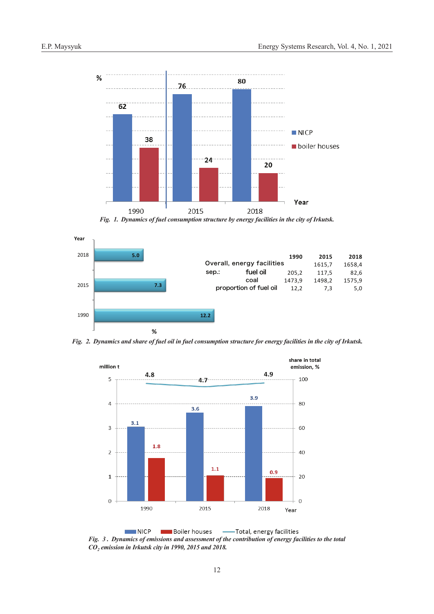

*Fig. 1. Dynamics of fuel consumption structure by energy facilities in the city of Irkutsk.*



*Fig. 2. Dynamics and share of fuel oil in fuel consumption structure for energy facilities in the city of Irkutsk.*



Boiler houses - Total, energy facilities **NICP** *Fig. 3 . Dynamics of emissions and assessment of the contribution of energy facilities to the total СО2 emission in Irkutsk city in 1990, 2015 and 2018.*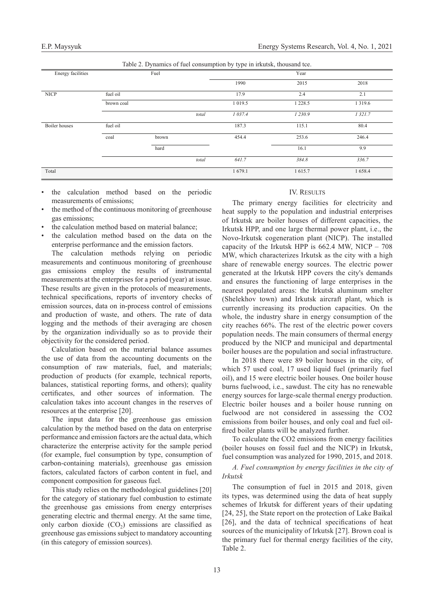Table 2. Dynamics of fuel consumption by type in irkutsk, thousand tce.

| Energy facilities |            | Fuel  |       | - - -<br>Year |             |            |
|-------------------|------------|-------|-------|---------------|-------------|------------|
|                   |            |       |       | 1990          | 2015        | 2018       |
| <b>NICP</b>       | fuel oil   |       |       | 17.9          | 2.4         | 2.1        |
|                   | brown coal |       |       | 1 0 1 9 .5    | 1 2 2 8 . 5 | 1 3 1 9 .6 |
|                   |            |       | total | 1 037.4       | 1 2 3 0 . 9 | 1 321.7    |
| Boiler houses     | fuel oil   |       |       | 187.3         | 115.1       | 80.4       |
|                   | coal       | brown |       | 454.4         | 253.6       | 246.4      |
|                   |            | hard  |       |               | 16.1        | 9.9        |
|                   |            |       | total | 641.7         | 384.8       | 336.7      |
| Total             |            |       |       | 1679.1        | 1615.7      | 1658.4     |

- the calculation method based on the periodic measurements of emissions;
- the method of the continuous monitoring of greenhouse gas emissions;
- the calculation method based on material balance;
- the calculation method based on the data on the enterprise performance and the emission factors.

The calculation methods relying on periodic measurements and continuous monitoring of greenhouse gas emissions employ the results of instrumental measurements at the enterprises for a period (year) at issue. These results are given in the protocols of measurements, technical specifications, reports of inventory checks of emission sources, data on in-process control of emissions and production of waste, and others. The rate of data logging and the methods of their averaging are chosen by the organization individually so as to provide their objectivity for the considered period.

Calculation based on the material balance assumes the use of data from the accounting documents on the consumption of raw materials, fuel, and materials; production of products (for example, technical reports, balances, statistical reporting forms, and others); quality certificates, and other sources of information. The calculation takes into account changes in the reserves of resources at the enterprise [20].

The input data for the greenhouse gas emission calculation by the method based on the data on enterprise performance and emission factors are the actual data, which characterize the enterprise activity for the sample period (for example, fuel consumption by type, consumption of carbon-containing materials), greenhouse gas emission factors, calculated factors of carbon content in fuel, and component composition for gaseous fuel.

This study relies on the methodological guidelines [20] for the category of stationary fuel combustion to estimate the greenhouse gas emissions from energy enterprises generating electric and thermal energy. At the same time, only carbon dioxide  $(CO<sub>2</sub>)$  emissions are classified as greenhouse gas emissions subject to mandatory accounting (in this category of emission sources).

## IV. RESULTS

The primary energy facilities for electricity and heat supply to the population and industrial enterprises of Irkutsk are boiler houses of different capacities, the Irkutsk HPP, and one large thermal power plant, i.e., the Novo-Irkutsk cogeneration plant (NICP). The installed capacity of the Irkutsk HPP is 662.4 MW, NICP – 708 MW, which characterizes Irkutsk as the city with a high share of renewable energy sources. The electric power generated at the Irkutsk HPP covers the city's demands and ensures the functioning of large enterprises in the nearest populated areas: the Irkutsk aluminum smelter (Shelekhov town) and Irkutsk aircraft plant, which is currently increasing its production capacities. On the whole, the industry share in energy consumption of the city reaches 66%. The rest of the electric power covers population needs. The main consumers of thermal energy produced by the NICP and municipal and departmental boiler houses are the population and social infrastructure.

In 2018 there were 89 boiler houses in the city, of which 57 used coal, 17 used liquid fuel (primarily fuel oil), and 15 were electric boiler houses. One boiler house burns fuelwood, i.e., sawdust. The city has no renewable energy sources for large-scale thermal energy production. Electric boiler houses and a boiler house running on fuelwood are not considered in assessing the СО2 emissions from boiler houses, and only coal and fuel oilfired boiler plants will be analyzed further.

To calculate the СО2 emissions from energy facilities (boiler houses on fossil fuel and the NICP) in Irkutsk, fuel consumption was analyzed for 1990, 2015, and 2018.

*A. Fuel consumption by energy facilities in the city of Irkutsk*

The consumption of fuel in 2015 and 2018, given its types, was determined using the data of heat supply schemes of Irkutsk for different years of their updating [24, 25], the State report on the protection of Lake Baikal [26], and the data of technical specifications of heat sources of the municipality of Irkutsk [27]. Brown coal is the primary fuel for thermal energy facilities of the city, Table 2.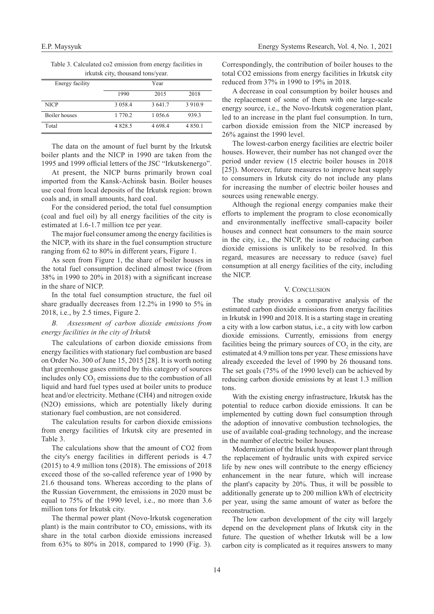| irkutsk city, thousand tons/year. |            |             |             |  |  |  |
|-----------------------------------|------------|-------------|-------------|--|--|--|
| Energy facility                   | Year       |             |             |  |  |  |
|                                   | 1990       | 2015        | 2018        |  |  |  |
| <b>NICP</b>                       | 3 0 5 8 .4 | 3 641.7     | 3 9 1 0.9   |  |  |  |
| Boiler houses                     | 1 770.2    | 1 0 5 6 . 6 | 939.3       |  |  |  |
| Total                             | 4 8 2 8 .5 | 4 698.4     | 4 8 5 0 . 1 |  |  |  |

Table 3. Calculated co2 emission from energy facilities in

The data on the amount of fuel burnt by the Irkutsk boiler plants and the NICP in 1990 are taken from the 1995 and 1999 official letters of the JSC "Irkutskenergo".

At present, the NICP burns primarily brown coal imported from the Kansk-Achinsk basin. Boiler houses use coal from local deposits of the Irkutsk region: brown coals and, in small amounts, hard coal.

For the considered period, the total fuel consumption (coal and fuel oil) by all energy facilities of the city is estimated at 1.6-1.7 million tce per year.

The major fuel consumer among the energy facilities is the NICP, with its share in the fuel consumption structure ranging from 62 to 80% in different years, Figure 1.

As seen from Figure 1, the share of boiler houses in the total fuel consumption declined almost twice (from 38% in 1990 to 20% in 2018) with a significant increase in the share of NICP.

In the total fuel consumption structure, the fuel oil share gradually decreases from 12.2% in 1990 to 5% in 2018, i.e., by 2.5 times, Figure 2.

# *B. Assessment of carbon dioxide emissions from energy facilities in the city of Irkutsk*

The calculations of carbon dioxide emissions from energy facilities with stationary fuel combustion are based on Order No. 300 of June 15, 2015 [28]. It is worth noting that greenhouse gases emitted by this category of sources includes only  $CO<sub>2</sub>$  emissions due to the combustion of all liquid and hard fuel types used at boiler units to produce heat and/or electricity. Methane (CH4) and nitrogen oxide (N2O) emissions, which are potentially likely during stationary fuel combustion, are not considered.

The calculation results for carbon dioxide emissions from energy facilities of Irkutsk city are presented in Table 3.

The calculations show that the amount of СО2 from the city's energy facilities in different periods is 4.7 (2015) to 4.9 million tons (2018). The emissions of 2018 exceed those of the so-called reference year of 1990 by 21.6 thousand tons. Whereas according to the plans of the Russian Government, the emissions in 2020 must be equal to 75% of the 1990 level, i.e., no more than 3.6 million tons for Irkutsk city.

The thermal power plant (Novo-Irkutsk cogeneration plant) is the main contributor to  $CO<sub>2</sub>$  emissions, with its share in the total carbon dioxide emissions increased from 63% to 80% in 2018, compared to 1990 (Fig. 3).

Correspondingly, the contribution of boiler houses to the total СО2 emissions from energy facilities in Irkutsk city reduced from 37% in 1990 to 19% in 2018.

A decrease in coal consumption by boiler houses and the replacement of some of them with one large-scale energy source, i.e., the Novo-Irkutsk cogeneration plant, led to an increase in the plant fuel consumption. In turn, carbon dioxide emission from the NICP increased by 26% against the 1990 level.

The lowest-carbon energy facilities are electric boiler houses. However, their number has not changed over the period under review (15 electric boiler houses in 2018 [25]). Moreover, future measures to improve heat supply to consumers in Irkutsk city do not include any plans for increasing the number of electric boiler houses and sources using renewable energy.

Although the regional energy companies make their efforts to implement the program to close economically and environmentally ineffective small-capacity boiler houses and connect heat consumers to the main source in the city, i.e., the NICP, the issue of reducing carbon dioxide emissions is unlikely to be resolved. In this regard, measures are necessary to reduce (save) fuel consumption at all energy facilities of the city, including the NICP.

#### V. CONCLUSION

The study provides a comparative analysis of the estimated carbon dioxide emissions from energy facilities in Irkutsk in 1990 and 2018. It is a starting stage in creating a city with a low carbon status, i.e., a city with low carbon dioxide emissions. Currently, emissions from energy facilities being the primary sources of  $CO<sub>2</sub>$  in the city, are estimated at 4.9 million tons per year. These emissions have already exceeded the level of 1990 by 26 thousand tons. The set goals (75% of the 1990 level) can be achieved by reducing carbon dioxide emissions by at least 1.3 million tons.

With the existing energy infrastructure, Irkutsk has the potential to reduce carbon dioxide emissions. It can be implemented by cutting down fuel consumption through the adoption of innovative combustion technologies, the use of available coal-grading technology, and the increase in the number of electric boiler houses.

Modernization of the Irkutsk hydropower plant through the replacement of hydraulic units with expired service life by new ones will contribute to the energy efficiency enhancement in the near future, which will increase the plant's capacity by 20%. Thus, it will be possible to additionally generate up to 200 million kWh of electricity per year, using the same amount of water as before the reconstruction.

The low carbon development of the city will largely depend on the development plans of Irkutsk city in the future. The question of whether Irkutsk will be a low carbon city is complicated as it requires answers to many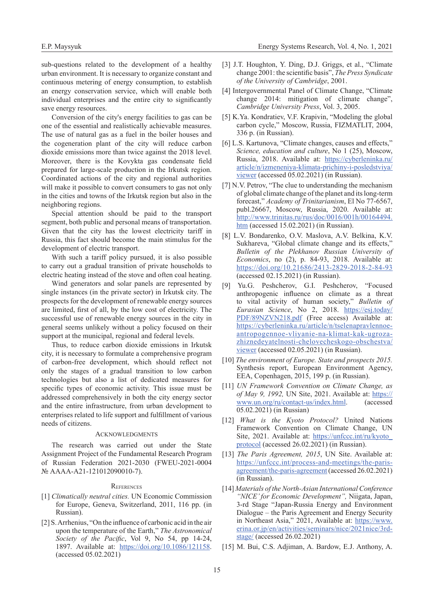sub-questions related to the development of a healthy urban environment. It is necessary to organize constant and continuous metering of energy consumption, to establish an energy conservation service, which will enable both individual enterprises and the entire city to significantly save energy resources.

Conversion of the city's energy facilities to gas can be one of the essential and realistically achievable measures. The use of natural gas as a fuel in the boiler houses and the cogeneration plant of the city will reduce carbon dioxide emissions more than twice against the 2018 level. Moreover, there is the Kovykta gas condensate field prepared for large-scale production in the Irkutsk region. Coordinated actions of the city and regional authorities will make it possible to convert consumers to gas not only in the cities and towns of the Irkutsk region but also in the neighboring regions.

Special attention should be paid to the transport segment, both public and personal means of transportation. Given that the city has the lowest electricity tariff in Russia, this fact should become the main stimulus for the development of electric transport.

With such a tariff policy pursued, it is also possible to carry out a gradual transition of private households to electric heating instead of the stove and often coal heating.

Wind generators and solar panels are represented by single instances (in the private sector) in Irkutsk city. The prospects for the development of renewable energy sources are limited, first of all, by the low cost of electricity. The successful use of renewable energy sources in the city in general seems unlikely without a policy focused on their support at the municipal, regional and federal levels.

Thus, to reduce carbon dioxide emissions in Irkutsk city, it is necessary to formulate a comprehensive program of carbon-free development, which should reflect not only the stages of a gradual transition to low carbon technologies but also a list of dedicated measures for specific types of economic activity. This issue must be addressed comprehensively in both the city energy sector and the entire infrastructure, from urban development to enterprises related to life support and fulfillment of various needs of citizens.

## **ACKNOWLEDGMENTS**

The research was carried out under the State Assignment Project of the Fundamental Research Program of Russian Federation 2021-2030 (FWEU-2021-0004 № АААА-А21-121012090010-7).

#### **REFERENCES**

- [1] *Climatically neutral cities.* UN Economic Commission for Europe, Geneva, Switzеrland, 2011, 116 pp. (in Russian).
- [2] S. Arrhenius, "On the influence of carbonic acid in the air upon the temperature of the Earth," *The Astronomical Society of the Pacific*, Vol 9, No 54, pp 14-24, 1897. Available at: <https://doi.org/10.1086/121158>. (accessed 05.02.2021)
- [3] J.T. Houghton, Y. Ding, D.J. Griggs, et al., "Climate change 2001: the scientific basis", *The Press Syndicate of the University of Cambridge*, 2001.
- [4] Intergovernmental Panel of Climate Change, "Climate change 2014: mitigation of climate change", *Cambridge University Press*, Vol. 3, 2005.
- [5] K.Ya. Kondratiev, V.F. Krapivin, "Modeling the global carbon cycle," Moscow, Russia, FIZMATLIT, 2004, 336 p. (in Russian).
- [6] L.S. Kartunova, "Climate changes, causes and effects," *Science, education and culture*, No 1 (25), Moscow, Russia, 2018. Available at: [https://cyberleninka.ru/](https://cyberleninka.ru/article/n/izmeneniya-klimata-prichiny-i-posledstviya/viewer) [article/n/izmeneniya-klimata-prichiny-i-posledstviya/](https://cyberleninka.ru/article/n/izmeneniya-klimata-prichiny-i-posledstviya/viewer) [viewer](https://cyberleninka.ru/article/n/izmeneniya-klimata-prichiny-i-posledstviya/viewer) (accessed 05.02.2021) (in Russian).
- [7] N.V. Petrov, "The clue to understanding the mechanism of global climate change of the planet and its long-term forecast," *Academy of Trinitarianism*, El No 77-6567, publ.26667, Мoscow, Russia, 2020. Available at: [http://www.trinitas.ru/rus/doc/0016/001h/00164494.](http://www.trinitas.ru/rus/doc/0016/001h/00164494.htm) [htm](http://www.trinitas.ru/rus/doc/0016/001h/00164494.htm) (accessed 15.02.2021) (in Russian).
- [8] L.V. Bondarenko, O.V. Maslova, A.V. Belkina, K.V. Sukhareva, "Global climate change and its effects," *Bulletin of the Plekhanov Russian University of Economics*, no (2), p. 84-93, 2018. Available at: <https://doi.org/10.21686/2413-2829-2018-2-84-93> (accessed 02.15.2021) (in Russian).
- [9] Yu.G. Peshcherov, G.I. Peshcherov, "Focused anthropogenic influence on climate as a threat to vital activity of human society," *Bulletin of Eurasian Science*, No 2, 2018. [https://esj.today/](https://esj.today/PDF/89NZVN218.pdf) [PDF/89NZVN218.pdf](https://esj.today/PDF/89NZVN218.pdf) (Free access) Available at: [https://cyberleninka.ru/article/n/tselenapravlennoe](https://cyberleninka.ru/article/n/tselenapravlennoe-antropogennoe-vliyanie-na-klimat-kak-ugroza-zhiznedeyatelnosti-chelovecheskogo-obschestva/viewer)[antropogennoe-vliyanie-na-klimat-kak-ugroza](https://cyberleninka.ru/article/n/tselenapravlennoe-antropogennoe-vliyanie-na-klimat-kak-ugroza-zhiznedeyatelnosti-chelovecheskogo-obschestva/viewer)[zhiznedeyatelnosti-chelovecheskogo-obschestva/](https://cyberleninka.ru/article/n/tselenapravlennoe-antropogennoe-vliyanie-na-klimat-kak-ugroza-zhiznedeyatelnosti-chelovecheskogo-obschestva/viewer) [viewer](https://cyberleninka.ru/article/n/tselenapravlennoe-antropogennoe-vliyanie-na-klimat-kak-ugroza-zhiznedeyatelnosti-chelovecheskogo-obschestva/viewer) (accessed 02.05.2021) (in Russian).
- [10] *The environment of Europe. State and prospects 2015.* Synthesis report, European Environment Agency, EEA, Copenhagen, 2015, 199 p. (in Russian).
- [11] *UN Framework Convention on Climate Change, as of May 9, 1992,* UN Site, 2021. Available at: [https://](https://www.un.org/ru/contact-us/index.html) [www.un.org/ru/contact-us/index.html.](https://www.un.org/ru/contact-us/index.html) (accessed 05.02.2021) (in Russian)
- [12] *What is the Kyoto Protocol?* United Nations Framework Convention on Climate Change, UN Site, 2021. Available at: https://unfccc.int/ru/kyoto [protocol](https://unfccc.int/ru/kyoto_protocol) (accessed 26.02.2021) (in Russian).
- [13] *The Paris Agreement, 2015*, UN Site. Available at: [https://unfccc.int/process-and-meetings/the-paris](https://unfccc.int/process-and-meetings/the-paris-agreement/the-paris-agreement)[agreement/the-paris-agreement](https://unfccc.int/process-and-meetings/the-paris-agreement/the-paris-agreement) (accessed 26.02.2021) (in Russian).
- [14] *Materials of the North-Asian International Conference "NICE' for Economic Development",* Niigata, Japan, 3-rd Stage "Japan-Russia Energy and Environment Dialogue – the Paris Agreement and Energy Security in Northeast Asia," 2021, Available at: [https://www.](https://www.erina.or.jp/en/activities/seminars/nice/2021nice/3rd-stage/) [erina.or.jp/en/activities/seminars/nice/2021nice/3rd](https://www.erina.or.jp/en/activities/seminars/nice/2021nice/3rd-stage/)[stage/](https://www.erina.or.jp/en/activities/seminars/nice/2021nice/3rd-stage/) (accessed 26.02.2021)
- [15] M. Bui, C.S. Adjiman, A. Bardow, E.J. Anthony, A.